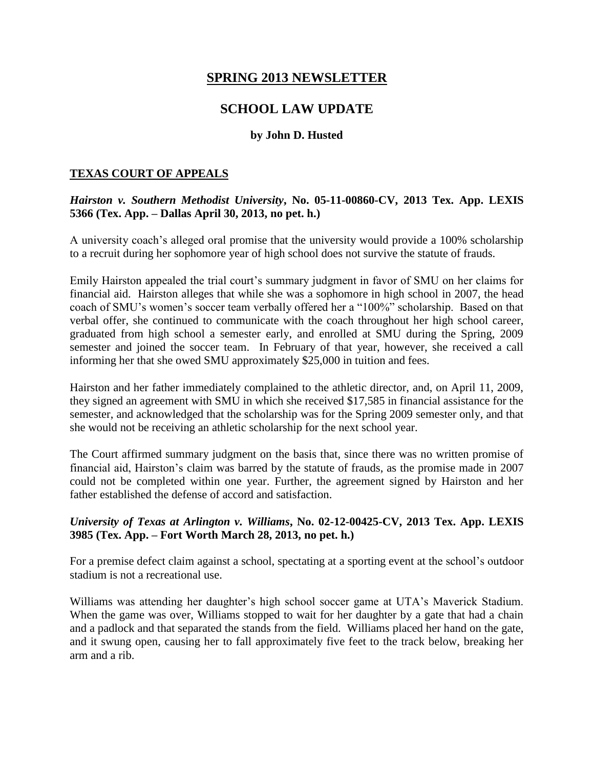# **SPRING 2013 NEWSLETTER**

# **SCHOOL LAW UPDATE**

#### **by John D. Husted**

#### **TEXAS COURT OF APPEALS**

### *Hairston v. Southern Methodist University***, No. 05-11-00860-CV, 2013 Tex. App. LEXIS 5366 (Tex. App. – Dallas April 30, 2013, no pet. h.)**

A university coach's alleged oral promise that the university would provide a 100% scholarship to a recruit during her sophomore year of high school does not survive the statute of frauds.

Emily Hairston appealed the trial court's summary judgment in favor of SMU on her claims for financial aid. Hairston alleges that while she was a sophomore in high school in 2007, the head coach of SMU's women's soccer team verbally offered her a "100%" scholarship. Based on that verbal offer, she continued to communicate with the coach throughout her high school career, graduated from high school a semester early, and enrolled at SMU during the Spring, 2009 semester and joined the soccer team. In February of that year, however, she received a call informing her that she owed SMU approximately \$25,000 in tuition and fees.

Hairston and her father immediately complained to the athletic director, and, on April 11, 2009, they signed an agreement with SMU in which she received \$17,585 in financial assistance for the semester, and acknowledged that the scholarship was for the Spring 2009 semester only, and that she would not be receiving an athletic scholarship for the next school year.

The Court affirmed summary judgment on the basis that, since there was no written promise of financial aid, Hairston's claim was barred by the statute of frauds, as the promise made in 2007 could not be completed within one year. Further, the agreement signed by Hairston and her father established the defense of accord and satisfaction.

## *University of Texas at Arlington v. Williams***, No. 02-12-00425-CV, 2013 Tex. App. LEXIS 3985 (Tex. App. – Fort Worth March 28, 2013, no pet. h.)**

For a premise defect claim against a school, spectating at a sporting event at the school's outdoor stadium is not a recreational use.

Williams was attending her daughter's high school soccer game at UTA's Maverick Stadium. When the game was over, Williams stopped to wait for her daughter by a gate that had a chain and a padlock and that separated the stands from the field. Williams placed her hand on the gate, and it swung open, causing her to fall approximately five feet to the track below, breaking her arm and a rib.